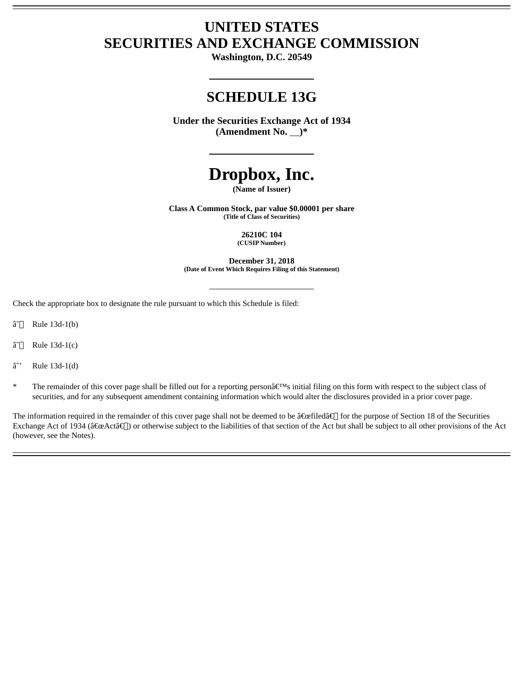## **UNITED STATES SECURITIES AND EXCHANGE COMMISSION**

**Washington, D.C. 20549**

## **SCHEDULE 13G**

**Under the Securities Exchange Act of 1934 (Amendment No. )\***

# **Dropbox, Inc.**

**(Name of Issuer)**

**Class A Common Stock, par value \$0.00001 per share (Title of Class of Securities)**

> **26210C 104 (CUSIP Number)**

**December 31, 2018 (Date of Event Which Requires Filing of this Statement)**

Check the appropriate box to designate the rule pursuant to which this Schedule is filed:

- $\hat{a}$ <sup> $\cap$ </sup> Rule 13d-1(b)
- $\hat{a}$ <sup> $\cap$ </sup> Rule 13d-1(c)
- $\hat{a}$ " Rule 13d-1(d)
- The remainder of this cover page shall be filled out for a reporting person $\hat{\mathbf{a}} \in \mathbb{N}$ s initial filing on this form with respect to the subject class of securities, and for any subsequent amendment containing information which would alter the disclosures provided in a prior cover page.

The information required in the remainder of this cover page shall not be deemed to be "filed†for the purpose of Section 18 of the Securities Exchange Act of 1934 ("Actâ€[]) or otherwise subject to the liabilities of that section of the Act but shall be subject to all other provisions of the Act (however, see the Notes).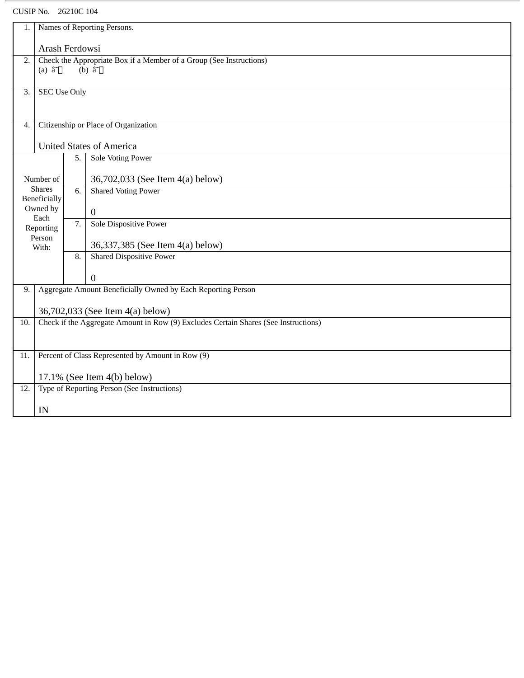CUSIP No. 26210C 104

| Names of Reporting Persons.<br>1.                                                          |                                                                                                                 |                                 |                                  |  |
|--------------------------------------------------------------------------------------------|-----------------------------------------------------------------------------------------------------------------|---------------------------------|----------------------------------|--|
|                                                                                            | Arash Ferdowsi                                                                                                  |                                 |                                  |  |
| 2.                                                                                         | Check the Appropriate Box if a Member of a Group (See Instructions)<br>(a) $\hat{a}^{\dagger}$<br>(b) $\hat{a}$ |                                 |                                  |  |
| 3.                                                                                         | <b>SEC Use Only</b>                                                                                             |                                 |                                  |  |
| Citizenship or Place of Organization<br>4.                                                 |                                                                                                                 |                                 |                                  |  |
|                                                                                            |                                                                                                                 | <b>United States of America</b> |                                  |  |
|                                                                                            |                                                                                                                 | 5.                              | <b>Sole Voting Power</b>         |  |
| Number of<br><b>Shares</b><br>Beneficially                                                 |                                                                                                                 |                                 | 36,702,033 (See Item 4(a) below) |  |
|                                                                                            |                                                                                                                 | 6.                              | <b>Shared Voting Power</b>       |  |
|                                                                                            | Owned by<br>Each                                                                                                |                                 | $\overline{0}$                   |  |
|                                                                                            | Reporting                                                                                                       | 7.                              | <b>Sole Dispositive Power</b>    |  |
|                                                                                            | Person<br>With:                                                                                                 |                                 | 36,337,385 (See Item 4(a) below) |  |
|                                                                                            |                                                                                                                 | 8.                              | <b>Shared Dispositive Power</b>  |  |
|                                                                                            |                                                                                                                 |                                 | $\boldsymbol{0}$                 |  |
|                                                                                            | Aggregate Amount Beneficially Owned by Each Reporting Person<br>9.                                              |                                 |                                  |  |
|                                                                                            | 36,702,033 (See Item 4(a) below)                                                                                |                                 |                                  |  |
| Check if the Aggregate Amount in Row (9) Excludes Certain Shares (See Instructions)<br>10. |                                                                                                                 |                                 |                                  |  |
| 11.                                                                                        | Percent of Class Represented by Amount in Row (9)                                                               |                                 |                                  |  |
|                                                                                            | $17.1\%$ (See Item 4(b) below)                                                                                  |                                 |                                  |  |
| 12.                                                                                        | Type of Reporting Person (See Instructions)                                                                     |                                 |                                  |  |
|                                                                                            | IN                                                                                                              |                                 |                                  |  |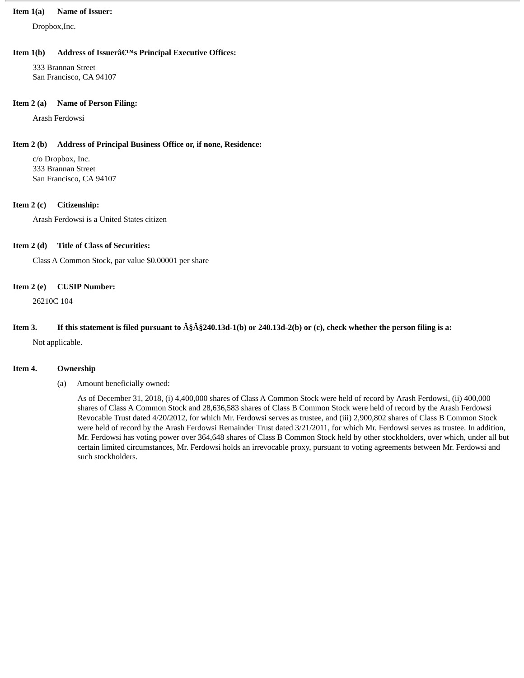#### **Item 1(a) Name of Issuer:**

Dropbox,Inc.

#### **Item 1(b)** Address of Issuer's Principal Executive Offices:

333 Brannan Street San Francisco, CA 94107

#### **Item 2 (a) Name of Person Filing:**

Arash Ferdowsi

#### **Item 2 (b) Address of Principal Business Office or, if none, Residence:**

c/o Dropbox, Inc. 333 Brannan Street San Francisco, CA 94107

#### **Item 2 (c) Citizenship:**

Arash Ferdowsi is a United States citizen

#### **Item 2 (d) Title of Class of Securities:**

Class A Common Stock, par value \$0.00001 per share

#### **Item 2 (e) CUSIP Number:**

26210C 104

### Item 3. If this statement is filed pursuant to  $\hat{A}\hat{S}\hat{A}\hat{S}240.13d-1(b)$  or 240.13d-2(b) or (c), check whether the person filing is a:

Not applicable.

#### **Item 4. Ownership**

(a) Amount beneficially owned:

As of December 31, 2018, (i) 4,400,000 shares of Class A Common Stock were held of record by Arash Ferdowsi, (ii) 400,000 shares of Class A Common Stock and 28,636,583 shares of Class B Common Stock were held of record by the Arash Ferdowsi Revocable Trust dated 4/20/2012, for which Mr. Ferdowsi serves as trustee, and (iii) 2,900,802 shares of Class B Common Stock were held of record by the Arash Ferdowsi Remainder Trust dated 3/21/2011, for which Mr. Ferdowsi serves as trustee. In addition, Mr. Ferdowsi has voting power over 364,648 shares of Class B Common Stock held by other stockholders, over which, under all but certain limited circumstances, Mr. Ferdowsi holds an irrevocable proxy, pursuant to voting agreements between Mr. Ferdowsi and such stockholders.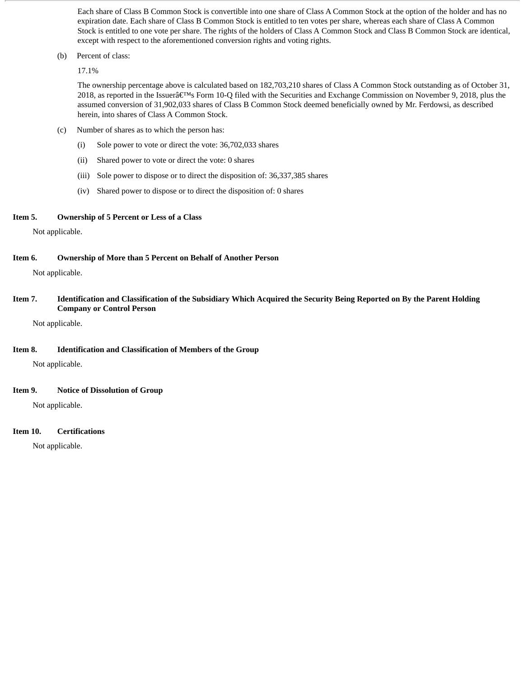Each share of Class B Common Stock is convertible into one share of Class A Common Stock at the option of the holder and has no expiration date. Each share of Class B Common Stock is entitled to ten votes per share, whereas each share of Class A Common Stock is entitled to one vote per share. The rights of the holders of Class A Common Stock and Class B Common Stock are identical, except with respect to the aforementioned conversion rights and voting rights.

(b) Percent of class:

17.1%

The ownership percentage above is calculated based on 182,703,210 shares of Class A Common Stock outstanding as of October 31, 2018, as reported in the Issuer $\hat{\pi} \in \mathbb{R}^m$  Form 10-Q filed with the Securities and Exchange Commission on November 9, 2018, plus the assumed conversion of 31,902,033 shares of Class B Common Stock deemed beneficially owned by Mr. Ferdowsi, as described herein, into shares of Class A Common Stock.

- (c) Number of shares as to which the person has:
	- (i) Sole power to vote or direct the vote: 36,702,033 shares
	- (ii) Shared power to vote or direct the vote: 0 shares
	- (iii) Sole power to dispose or to direct the disposition of: 36,337,385 shares
	- (iv) Shared power to dispose or to direct the disposition of: 0 shares

#### **Item 5. Ownership of 5 Percent or Less of a Class**

Not applicable.

**Item 6. Ownership of More than 5 Percent on Behalf of Another Person**

Not applicable.

Item 7. Identification and Classification of the Subsidiary Which Acquired the Security Being Reported on By the Parent Holding **Company or Control Person**

Not applicable.

#### **Item 8. Identification and Classification of Members of the Group**

Not applicable.

#### **Item 9. Notice of Dissolution of Group**

Not applicable.

#### **Item 10. Certifications**

Not applicable.